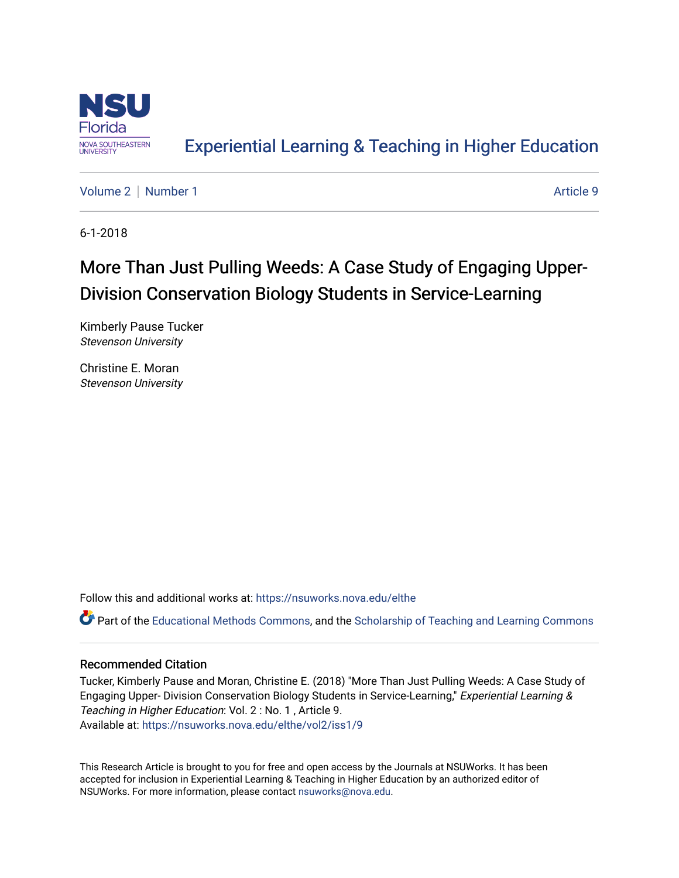

## [Experiential Learning & Teaching in Higher Education](https://nsuworks.nova.edu/elthe)

[Volume 2](https://nsuworks.nova.edu/elthe/vol2) | [Number 1](https://nsuworks.nova.edu/elthe/vol2/iss1) Article 9

6-1-2018

# More Than Just Pulling Weeds: A Case Study of Engaging Upper-Division Conservation Biology Students in Service-Learning

Kimberly Pause Tucker Stevenson University

Christine E. Moran Stevenson University

Follow this and additional works at: [https://nsuworks.nova.edu/elthe](https://nsuworks.nova.edu/elthe?utm_source=nsuworks.nova.edu%2Felthe%2Fvol2%2Fiss1%2F9&utm_medium=PDF&utm_campaign=PDFCoverPages)

Part of the [Educational Methods Commons,](http://network.bepress.com/hgg/discipline/1227?utm_source=nsuworks.nova.edu%2Felthe%2Fvol2%2Fiss1%2F9&utm_medium=PDF&utm_campaign=PDFCoverPages) and the Scholarship of Teaching and Learning Commons

### Recommended Citation

Tucker, Kimberly Pause and Moran, Christine E. (2018) "More Than Just Pulling Weeds: A Case Study of Engaging Upper- Division Conservation Biology Students in Service-Learning," Experiential Learning & Teaching in Higher Education: Vol. 2 : No. 1 , Article 9. Available at: [https://nsuworks.nova.edu/elthe/vol2/iss1/9](https://nsuworks.nova.edu/elthe/vol2/iss1/9?utm_source=nsuworks.nova.edu%2Felthe%2Fvol2%2Fiss1%2F9&utm_medium=PDF&utm_campaign=PDFCoverPages)

This Research Article is brought to you for free and open access by the Journals at NSUWorks. It has been accepted for inclusion in Experiential Learning & Teaching in Higher Education by an authorized editor of NSUWorks. For more information, please contact [nsuworks@nova.edu](mailto:nsuworks@nova.edu).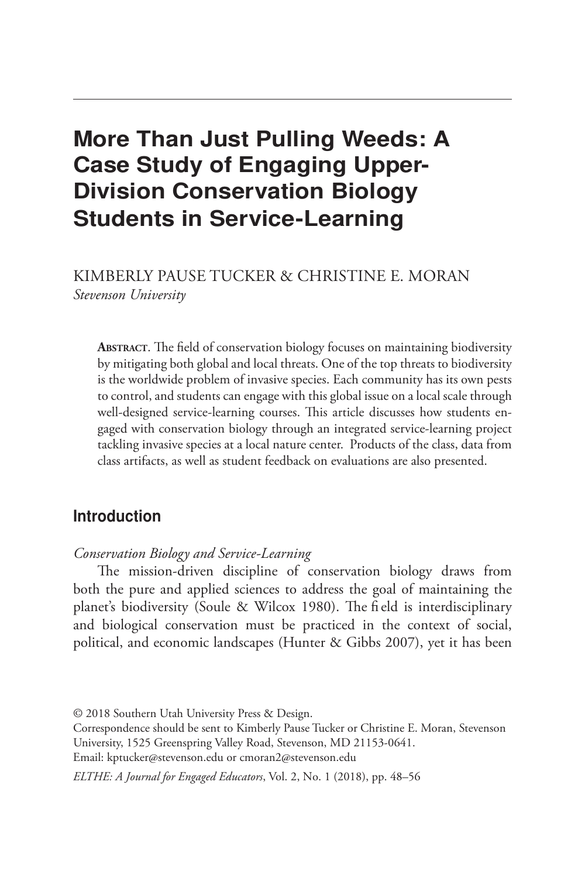## More Than Just Pulling Weeds: A Case Study of Engaging Upper-Division Conservation Biology Students in Service-Learning

KIMBERLY PAUSE TUCKER & CHRISTINE E. MORAN *Stevenson University*

**Abstract**. The field of conservation biology focuses on maintaining biodiversity by mitigating both global and local threats. One of the top threats to biodiversity is the worldwide problem of invasive species. Each community has its own pests to control, and students can engage with this global issue on a local scale through well-designed service-learning courses. This article discusses how students engaged with conservation biology through an integrated service-learning project tackling invasive species at a local nature center. Products of the class, data from class artifacts, as well as student feedback on evaluations are also presented.

## Introduction

#### *Conservation Biology and Service-Learning*

The mission-driven discipline of conservation biology draws from both the pure and applied sciences to address the goal of maintaining the planet's biodiversity (Soule & Wilcox 1980). The fi eld is interdisciplinary and biological conservation must be practiced in the context of social, political, and economic landscapes (Hunter & Gibbs 2007), yet it has been

<sup>© 2018</sup> Southern Utah University Press & Design.

Correspondence should be sent to Kimberly Pause Tucker or Christine E. Moran, Stevenson University, 1525 Greenspring Valley Road, Stevenson, MD 21153-0641.

Email: kptucker@stevenson.edu or cmoran2@stevenson.edu

*ELTHE: A Journal for Engaged Educators*, Vol. 2, No. 1 (2018), pp. 48–56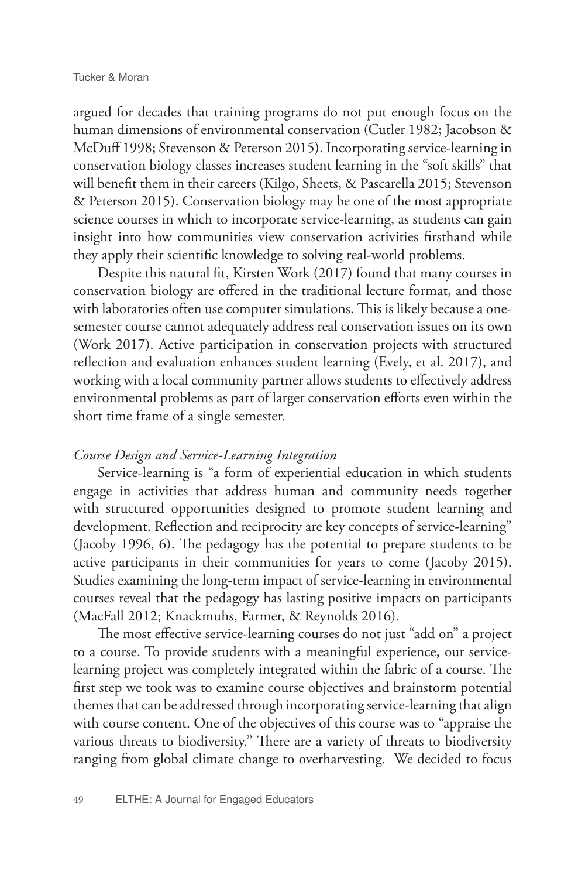argued for decades that training programs do not put enough focus on the human dimensions of environmental conservation (Cutler 1982; Jacobson & McDuff 1998; Stevenson & Peterson 2015). Incorporating service-learning in conservation biology classes increases student learning in the "soft skills" that will benefit them in their careers (Kilgo, Sheets, & Pascarella 2015; Stevenson & Peterson 2015). Conservation biology may be one of the most appropriate science courses in which to incorporate service-learning, as students can gain insight into how communities view conservation activities firsthand while they apply their scientific knowledge to solving real-world problems.

Despite this natural fit, Kirsten Work (2017) found that many courses in conservation biology are offered in the traditional lecture format, and those with laboratories often use computer simulations. This is likely because a onesemester course cannot adequately address real conservation issues on its own (Work 2017). Active participation in conservation projects with structured reflection and evaluation enhances student learning (Evely, et al. 2017), and working with a local community partner allows students to effectively address environmental problems as part of larger conservation efforts even within the short time frame of a single semester.

#### *Course Design and Service-Learning Integration*

Service-learning is "a form of experiential education in which students engage in activities that address human and community needs together with structured opportunities designed to promote student learning and development. Reflection and reciprocity are key concepts of service-learning" (Jacoby 1996, 6). The pedagogy has the potential to prepare students to be active participants in their communities for years to come (Jacoby 2015). Studies examining the long-term impact of service-learning in environmental courses reveal that the pedagogy has lasting positive impacts on participants (MacFall 2012; Knackmuhs, Farmer, & Reynolds 2016).

The most effective service-learning courses do not just "add on" a project to a course. To provide students with a meaningful experience, our servicelearning project was completely integrated within the fabric of a course. The first step we took was to examine course objectives and brainstorm potential themes that can be addressed through incorporating service-learning that align with course content. One of the objectives of this course was to "appraise the various threats to biodiversity." There are a variety of threats to biodiversity ranging from global climate change to overharvesting. We decided to focus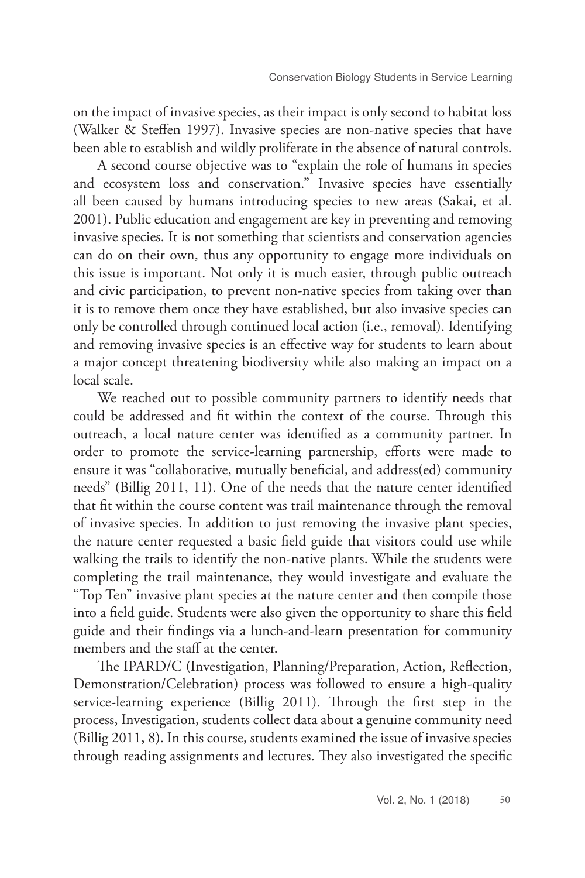on the impact of invasive species, as their impact is only second to habitat loss (Walker & Steffen 1997). Invasive species are non-native species that have been able to establish and wildly proliferate in the absence of natural controls.

A second course objective was to "explain the role of humans in species and ecosystem loss and conservation." Invasive species have essentially all been caused by humans introducing species to new areas (Sakai, et al. 2001). Public education and engagement are key in preventing and removing invasive species. It is not something that scientists and conservation agencies can do on their own, thus any opportunity to engage more individuals on this issue is important. Not only it is much easier, through public outreach and civic participation, to prevent non-native species from taking over than it is to remove them once they have established, but also invasive species can only be controlled through continued local action (i.e., removal). Identifying and removing invasive species is an effective way for students to learn about a major concept threatening biodiversity while also making an impact on a local scale.

We reached out to possible community partners to identify needs that could be addressed and fit within the context of the course. Through this outreach, a local nature center was identified as a community partner. In order to promote the service-learning partnership, efforts were made to ensure it was "collaborative, mutually beneficial, and address(ed) community needs" (Billig 2011, 11). One of the needs that the nature center identified that fit within the course content was trail maintenance through the removal of invasive species. In addition to just removing the invasive plant species, the nature center requested a basic field guide that visitors could use while walking the trails to identify the non-native plants. While the students were completing the trail maintenance, they would investigate and evaluate the "Top Ten" invasive plant species at the nature center and then compile those into a field guide. Students were also given the opportunity to share this field guide and their findings via a lunch-and-learn presentation for community members and the staff at the center.

The IPARD/C (Investigation, Planning/Preparation, Action, Reflection, Demonstration/Celebration) process was followed to ensure a high-quality service-learning experience (Billig 2011). Through the first step in the process, Investigation, students collect data about a genuine community need (Billig 2011, 8). In this course, students examined the issue of invasive species through reading assignments and lectures. They also investigated the specific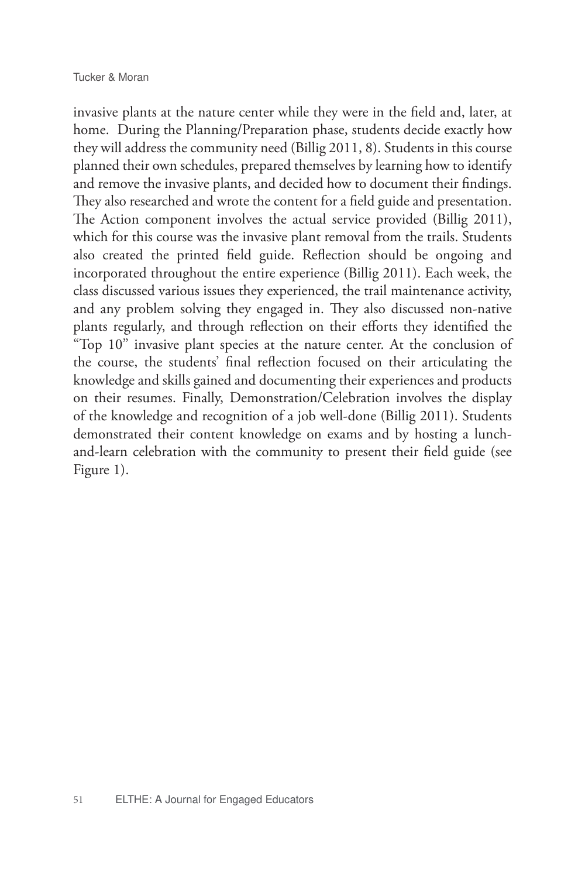invasive plants at the nature center while they were in the field and, later, at home. During the Planning/Preparation phase, students decide exactly how they will address the community need (Billig 2011, 8). Students in this course planned their own schedules, prepared themselves by learning how to identify and remove the invasive plants, and decided how to document their findings. They also researched and wrote the content for a field guide and presentation. The Action component involves the actual service provided (Billig 2011), which for this course was the invasive plant removal from the trails. Students also created the printed field guide. Reflection should be ongoing and incorporated throughout the entire experience (Billig 2011). Each week, the class discussed various issues they experienced, the trail maintenance activity, and any problem solving they engaged in. They also discussed non-native plants regularly, and through reflection on their efforts they identified the "Top 10" invasive plant species at the nature center. At the conclusion of the course, the students' final reflection focused on their articulating the knowledge and skills gained and documenting their experiences and products on their resumes. Finally, Demonstration/Celebration involves the display of the knowledge and recognition of a job well-done (Billig 2011). Students demonstrated their content knowledge on exams and by hosting a lunchand-learn celebration with the community to present their field guide (see Figure 1).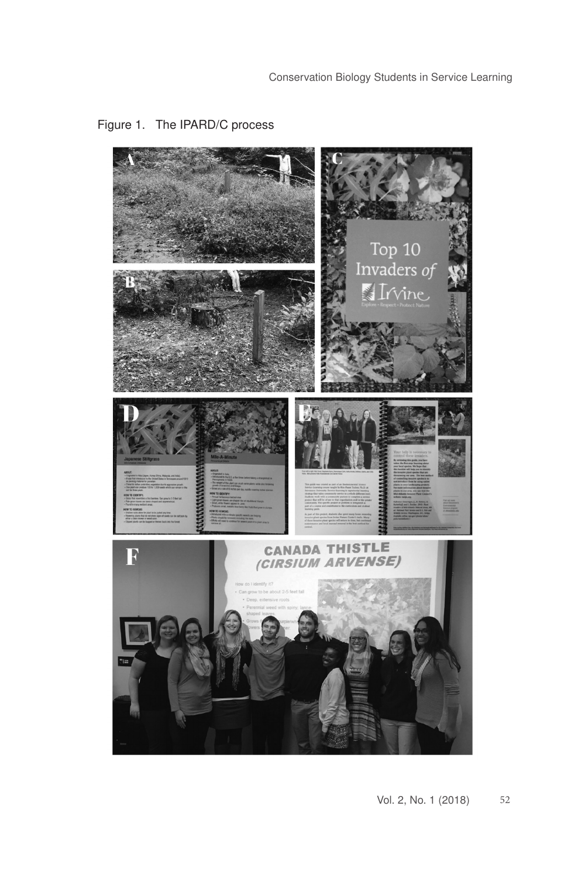

## Figure 1. The IPARD/C process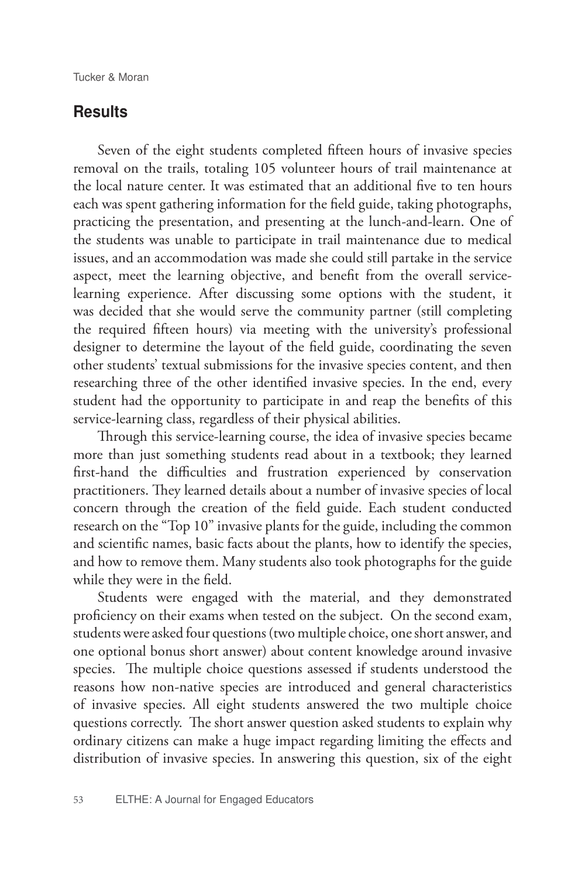## **Results**

Seven of the eight students completed fifteen hours of invasive species removal on the trails, totaling 105 volunteer hours of trail maintenance at the local nature center. It was estimated that an additional five to ten hours each was spent gathering information for the field guide, taking photographs, practicing the presentation, and presenting at the lunch-and-learn. One of the students was unable to participate in trail maintenance due to medical issues, and an accommodation was made she could still partake in the service aspect, meet the learning objective, and benefit from the overall servicelearning experience. After discussing some options with the student, it was decided that she would serve the community partner (still completing the required fifteen hours) via meeting with the university's professional designer to determine the layout of the field guide, coordinating the seven other students' textual submissions for the invasive species content, and then researching three of the other identified invasive species. In the end, every student had the opportunity to participate in and reap the benefits of this service-learning class, regardless of their physical abilities.

Through this service-learning course, the idea of invasive species became more than just something students read about in a textbook; they learned first-hand the difficulties and frustration experienced by conservation practitioners. They learned details about a number of invasive species of local concern through the creation of the field guide. Each student conducted research on the "Top 10" invasive plants for the guide, including the common and scientific names, basic facts about the plants, how to identify the species, and how to remove them. Many students also took photographs for the guide while they were in the field.

Students were engaged with the material, and they demonstrated proficiency on their exams when tested on the subject. On the second exam, students were asked four questions (two multiple choice, one short answer, and one optional bonus short answer) about content knowledge around invasive species. The multiple choice questions assessed if students understood the reasons how non-native species are introduced and general characteristics of invasive species. All eight students answered the two multiple choice questions correctly. The short answer question asked students to explain why ordinary citizens can make a huge impact regarding limiting the effects and distribution of invasive species. In answering this question, six of the eight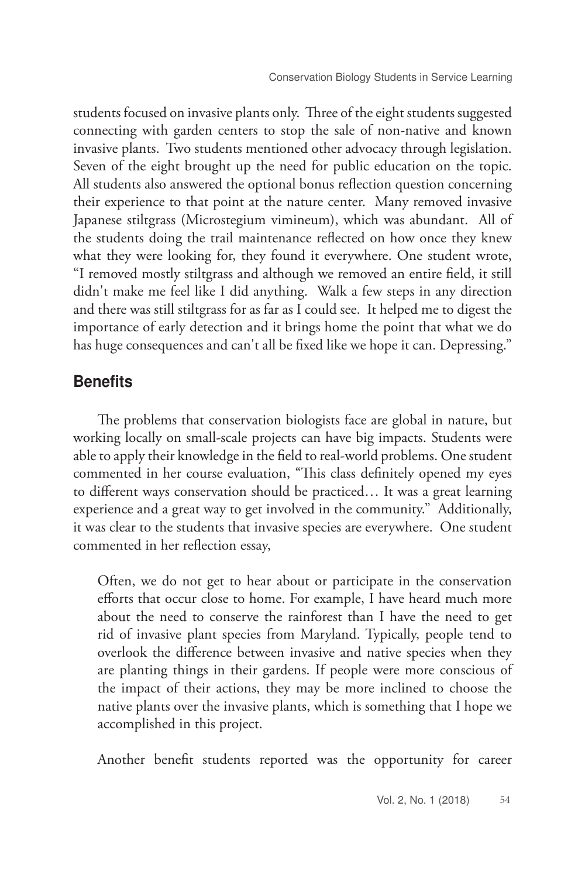students focused on invasive plants only. Three of the eight students suggested connecting with garden centers to stop the sale of non-native and known invasive plants. Two students mentioned other advocacy through legislation. Seven of the eight brought up the need for public education on the topic. All students also answered the optional bonus reflection question concerning their experience to that point at the nature center. Many removed invasive Japanese stiltgrass (Microstegium vimineum), which was abundant. All of the students doing the trail maintenance reflected on how once they knew what they were looking for, they found it everywhere. One student wrote, "I removed mostly stiltgrass and although we removed an entire field, it still didn't make me feel like I did anything. Walk a few steps in any direction and there was still stiltgrass for as far as I could see. It helped me to digest the importance of early detection and it brings home the point that what we do has huge consequences and can't all be fixed like we hope it can. Depressing."

## **Benefits**

The problems that conservation biologists face are global in nature, but working locally on small-scale projects can have big impacts. Students were able to apply their knowledge in the field to real-world problems. One student commented in her course evaluation, "This class definitely opened my eyes to different ways conservation should be practiced… It was a great learning experience and a great way to get involved in the community." Additionally, it was clear to the students that invasive species are everywhere. One student commented in her reflection essay,

Often, we do not get to hear about or participate in the conservation efforts that occur close to home. For example, I have heard much more about the need to conserve the rainforest than I have the need to get rid of invasive plant species from Maryland. Typically, people tend to overlook the difference between invasive and native species when they are planting things in their gardens. If people were more conscious of the impact of their actions, they may be more inclined to choose the native plants over the invasive plants, which is something that I hope we accomplished in this project.

Another benefit students reported was the opportunity for career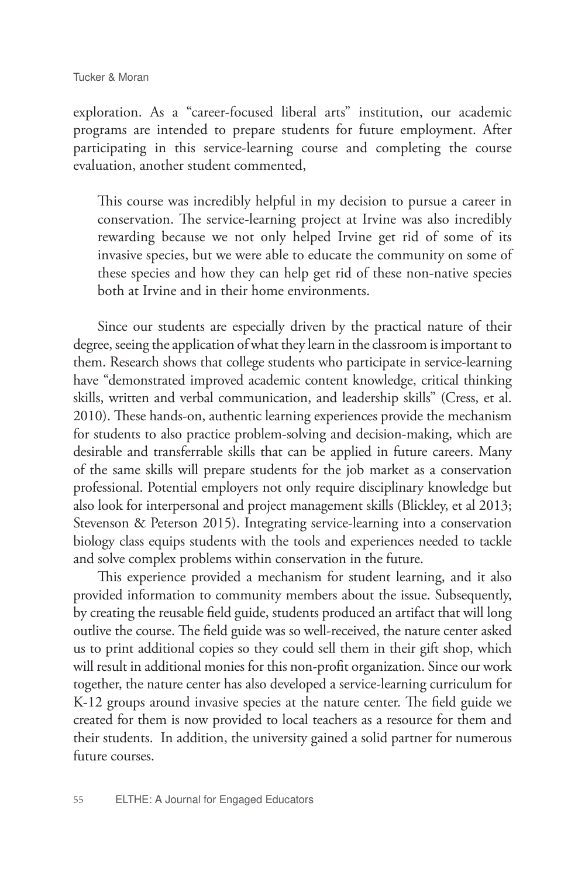exploration. As a "career-focused liberal arts" institution, our academic programs are intended to prepare students for future employment. After participating in this service-learning course and completing the course evaluation, another student commented,

This course was incredibly helpful in my decision to pursue a career in conservation. The service-learning project at Irvine was also incredibly rewarding because we not only helped Irvine get rid of some of its invasive species, but we were able to educate the community on some of these species and how they can help get rid of these non-native species both at Irvine and in their home environments.

Since our students are especially driven by the practical nature of their degree, seeing the application of what they learn in the classroom is important to them. Research shows that college students who participate in service-learning have "demonstrated improved academic content knowledge, critical thinking skills, written and verbal communication, and leadership skills" (Cress, et al. 2010). These hands-on, authentic learning experiences provide the mechanism for students to also practice problem-solving and decision-making, which are desirable and transferrable skills that can be applied in future careers. Many of the same skills will prepare students for the job market as a conservation professional. Potential employers not only require disciplinary knowledge but also look for interpersonal and project management skills (Blickley, et al 2013; Stevenson & Peterson 2015). Integrating service-learning into a conservation biology class equips students with the tools and experiences needed to tackle and solve complex problems within conservation in the future.

This experience provided a mechanism for student learning, and it also provided information to community members about the issue. Subsequently, by creating the reusable field guide, students produced an artifact that will long outlive the course. The field guide was so well-received, the nature center asked us to print additional copies so they could sell them in their gift shop, which will result in additional monies for this non-profit organization. Since our work together, the nature center has also developed a service-learning curriculum for K-12 groups around invasive species at the nature center. The field guide we created for them is now provided to local teachers as a resource for them and their students. In addition, the university gained a solid partner for numerous future courses.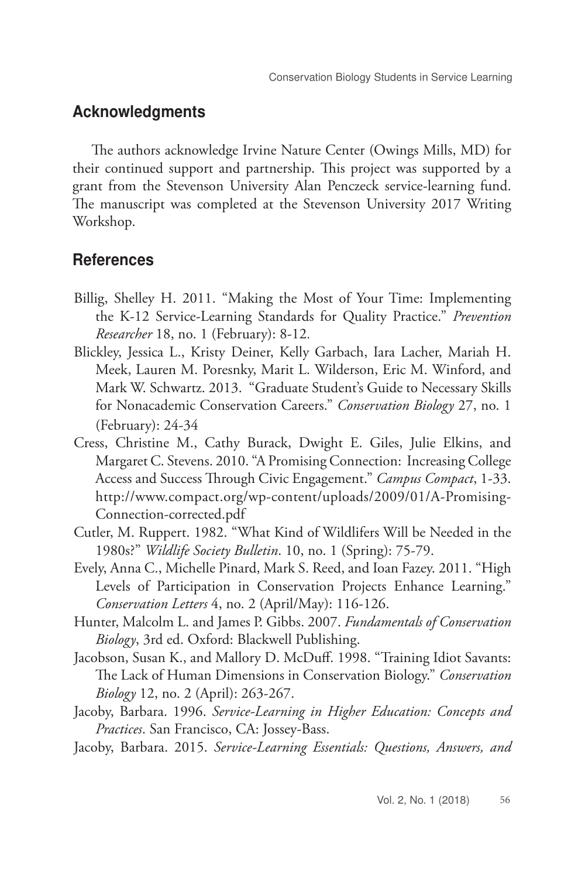## Acknowledgments

The authors acknowledge Irvine Nature Center (Owings Mills, MD) for their continued support and partnership. This project was supported by a grant from the Stevenson University Alan Penczeck service-learning fund. The manuscript was completed at the Stevenson University 2017 Writing Workshop.

## **References**

- Billig, Shelley H. 2011. "Making the Most of Your Time: Implementing the K-12 Service-Learning Standards for Quality Practice." *Prevention Researcher* 18, no. 1 (February): 8-12.
- Blickley, Jessica L., Kristy Deiner, Kelly Garbach, Iara Lacher, Mariah H. Meek, Lauren M. Poresnky, Marit L. Wilderson, Eric M. Winford, and Mark W. Schwartz. 2013. "Graduate Student's Guide to Necessary Skills for Nonacademic Conservation Careers." *Conservation Biology* 27, no. 1 (February): 24-34
- Cress, Christine M., Cathy Burack, Dwight E. Giles, Julie Elkins, and Margaret C. Stevens. 2010. "A Promising Connection: Increasing College Access and Success Through Civic Engagement." *Campus Compact*, 1-33. http://www.compact.org/wp-content/uploads/2009/01/A-Promising-Connection-corrected.pdf
- Cutler, M. Ruppert. 1982. "What Kind of Wildlifers Will be Needed in the 1980s?" *Wildlife Society Bulletin*. 10, no. 1 (Spring): 75-79.
- Evely, Anna C., Michelle Pinard, Mark S. Reed, and Ioan Fazey. 2011. "High Levels of Participation in Conservation Projects Enhance Learning." *Conservation Letters* 4, no. 2 (April/May): 116-126.
- Hunter, Malcolm L. and James P. Gibbs. 2007. *Fundamentals of Conservation Biology*, 3rd ed. Oxford: Blackwell Publishing.
- Jacobson, Susan K., and Mallory D. McDuff. 1998. "Training Idiot Savants: The Lack of Human Dimensions in Conservation Biology." *Conservation Biology* 12, no. 2 (April): 263-267.
- Jacoby, Barbara. 1996. *Service-Learning in Higher Education: Concepts and Practices*. San Francisco, CA: Jossey-Bass.
- Jacoby, Barbara. 2015. *Service-Learning Essentials: Questions, Answers, and*